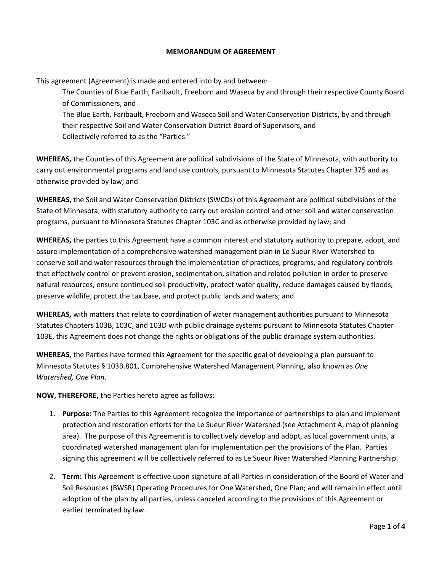### **MEMORANDUM OF AGREEMENT**

This agreement (Agreement) is made and entered into by and between:

The Counties of Blue Earth, Faribault, Freeborn and Waseca by and through their respective County Board of Commissioners, and The Blue Earth, Faribault, Freeborn and Waseca Soil and Water Conservation Districts, by and through their respective Soil and Water Conservation District Board of Supervisors, and

Collectively referred to as the "Parties."

**WHEREAS,** the Counties of this Agreement are political subdivisions of the State of Minnesota, with authority to carry out environmental programs and land use controls, pursuant to Minnesota Statutes Chapter 375 and as otherwise provided by law; and

**WHEREAS,** the Soil and Water Conservation Districts (SWCDs) of this Agreement are political subdivisions of the State of Minnesota, with statutory authority to carry out erosion control and other soil and water conservation programs, pursuant to Minnesota Statutes Chapter 103C and as otherwise provided by law; and

**WHEREAS,** the parties to this Agreement have a common interest and statutory authority to prepare, adopt, and assure implementation of a comprehensive watershed management plan in Le Sueur River Watershed to conserve soil and water resources through the implementation of practices, programs, and regulatory controls that effectively control or prevent erosion, sedimentation, siltation and related pollution in order to preserve natural resources, ensure continued soil productivity, protect water quality, reduce damages caused by floods, preserve wildlife, protect the tax base, and protect public lands and waters; and

**WHEREAS,** with matters that relate to coordination of water management authorities pursuant to Minnesota Statutes Chapters 103B, 103C, and 103D with public drainage systems pursuant to Minnesota Statutes Chapter 103E, this Agreement does not change the rights or obligations of the public drainage system authorities.

**WHEREAS,** the Parties have formed this Agreement for the specific goal of developing a plan pursuant to Minnesota Statutes § 103B.801, Comprehensive Watershed Management Planning, also known as *One Watershed, One Plan*.

**NOW, THEREFORE,** the Parties hereto agree as follows:

- 1. **Purpose:** The Parties to this Agreement recognize the importance of partnerships to plan and implement protection and restoration efforts for the Le Sueur River Watershed (see Attachment A, map of planning area). The purpose of this Agreement is to collectively develop and adopt, as local government units, a coordinated watershed management plan for implementation per the provisions of the Plan. Parties signing this agreement will be collectively referred to as Le Sueur River Watershed Planning Partnership.
- 2. **Term:** This Agreement is effective upon signature of all Parties in consideration of the Board of Water and Soil Resources (BWSR) Operating Procedures for One Watershed, One Plan; and will remain in effect until adoption of the plan by all parties, unless canceled according to the provisions of this Agreement or earlier terminated by law.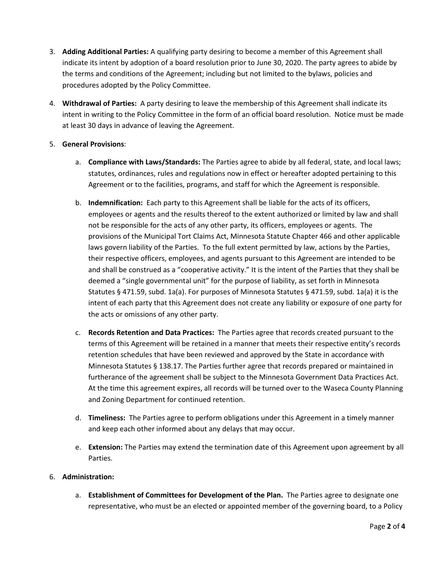- 3. **Adding Additional Parties:** A qualifying party desiring to become a member of this Agreement shall indicate its intent by adoption of a board resolution prior to June 30, 2020. The party agrees to abide by the terms and conditions of the Agreement; including but not limited to the bylaws, policies and procedures adopted by the Policy Committee.
- 4. **Withdrawal of Parties:** A party desiring to leave the membership of this Agreement shall indicate its intent in writing to the Policy Committee in the form of an official board resolution. Notice must be made at least 30 days in advance of leaving the Agreement.

# 5. **General Provisions**:

- a. **Compliance with Laws/Standards:** The Parties agree to abide by all federal, state, and local laws; statutes, ordinances, rules and regulations now in effect or hereafter adopted pertaining to this Agreement or to the facilities, programs, and staff for which the Agreement is responsible.
- b. **Indemnification:** Each party to this Agreement shall be liable for the acts of its officers, employees or agents and the results thereof to the extent authorized or limited by law and shall not be responsible for the acts of any other party, its officers, employees or agents. The provisions of the Municipal Tort Claims Act, Minnesota Statute Chapter 466 and other applicable laws govern liability of the Parties. To the full extent permitted by law, actions by the Parties, their respective officers, employees, and agents pursuant to this Agreement are intended to be and shall be construed as a "cooperative activity." It is the intent of the Parties that they shall be deemed a "single governmental unit" for the purpose of liability, as set forth in Minnesota Statutes § 471.59, subd. 1a(a). For purposes of Minnesota Statutes § 471.59, subd. 1a(a) it is the intent of each party that this Agreement does not create any liability or exposure of one party for the acts or omissions of any other party.
- c. **Records Retention and Data Practices:** The Parties agree that records created pursuant to the terms of this Agreement will be retained in a manner that meets their respective entity's records retention schedules that have been reviewed and approved by the State in accordance with Minnesota Statutes § 138.17. The Parties further agree that records prepared or maintained in furtherance of the agreement shall be subject to the Minnesota Government Data Practices Act. At the time this agreement expires, all records will be turned over to the Waseca County Planning and Zoning Department for continued retention.
- d. **Timeliness:** The Parties agree to perform obligations under this Agreement in a timely manner and keep each other informed about any delays that may occur.
- e. **Extension:** The Parties may extend the termination date of this Agreement upon agreement by all Parties.

## 6. **Administration:**

a. **Establishment of Committees for Development of the Plan.** The Parties agree to designate one representative, who must be an elected or appointed member of the governing board, to a Policy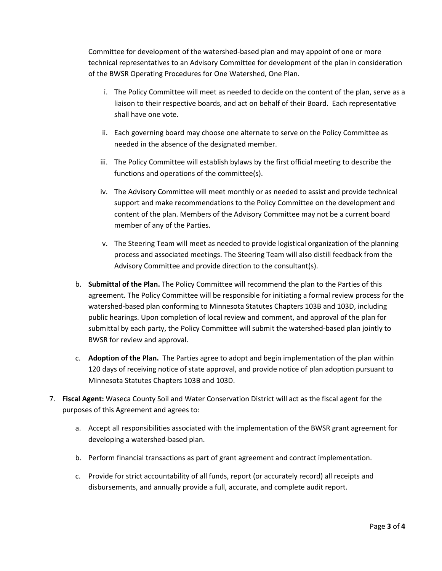Committee for development of the watershed-based plan and may appoint of one or more technical representatives to an Advisory Committee for development of the plan in consideration of the BWSR Operating Procedures for One Watershed, One Plan.

- i. The Policy Committee will meet as needed to decide on the content of the plan, serve as a liaison to their respective boards, and act on behalf of their Board. Each representative shall have one vote.
- ii. Each governing board may choose one alternate to serve on the Policy Committee as needed in the absence of the designated member.
- iii. The Policy Committee will establish bylaws by the first official meeting to describe the functions and operations of the committee(s).
- iv. The Advisory Committee will meet monthly or as needed to assist and provide technical support and make recommendations to the Policy Committee on the development and content of the plan. Members of the Advisory Committee may not be a current board member of any of the Parties.
- v. The Steering Team will meet as needed to provide logistical organization of the planning process and associated meetings. The Steering Team will also distill feedback from the Advisory Committee and provide direction to the consultant(s).
- b. **Submittal of the Plan.** The Policy Committee will recommend the plan to the Parties of this agreement. The Policy Committee will be responsible for initiating a formal review process for the watershed-based plan conforming to Minnesota Statutes Chapters 103B and 103D, including public hearings. Upon completion of local review and comment, and approval of the plan for submittal by each party, the Policy Committee will submit the watershed-based plan jointly to BWSR for review and approval.
- c. **Adoption of the Plan.** The Parties agree to adopt and begin implementation of the plan within 120 days of receiving notice of state approval, and provide notice of plan adoption pursuant to Minnesota Statutes Chapters 103B and 103D.
- 7. **Fiscal Agent:** Waseca County Soil and Water Conservation District will act as the fiscal agent for the purposes of this Agreement and agrees to:
	- a. Accept all responsibilities associated with the implementation of the BWSR grant agreement for developing a watershed-based plan.
	- b. Perform financial transactions as part of grant agreement and contract implementation.
	- c. Provide for strict accountability of all funds, report (or accurately record) all receipts and disbursements, and annually provide a full, accurate, and complete audit report.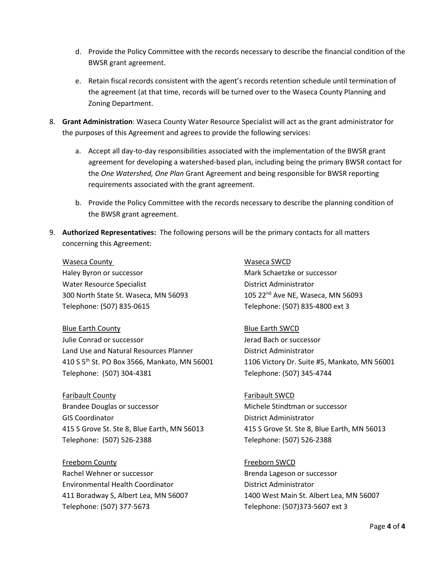- d. Provide the Policy Committee with the records necessary to describe the financial condition of the BWSR grant agreement.
- e. Retain fiscal records consistent with the agent's records retention schedule until termination of the agreement (at that time, records will be turned over to the Waseca County Planning and Zoning Department.
- 8. **Grant Administration**: Waseca County Water Resource Specialist will act as the grant administrator for the purposes of this Agreement and agrees to provide the following services:
	- a. Accept all day-to-day responsibilities associated with the implementation of the BWSR grant agreement for developing a watershed-based plan, including being the primary BWSR contact for the *One Watershed, One Plan* Grant Agreement and being responsible for BWSR reporting requirements associated with the grant agreement.
	- b. Provide the Policy Committee with the records necessary to describe the planning condition of the BWSR grant agreement.
- 9. **Authorized Representatives:** The following persons will be the primary contacts for all matters concerning this Agreement:

# Waseca County **Waseca SWCD**

Water Resource Specialist **District Administrator** District Administrator 300 North State St. Waseca, MN 56093 105 22nd Ave NE, Waseca, MN 56093 Telephone: (507) 835-0615 Telephone: (507) 835-4800 ext 3

**Blue Earth County Blue Earth SWCD** Julie Conrad or successor Jerad Bach or successor Land Use and Natural Resources Planner **District Administrator** 410 S 5th St. PO Box 3566, Mankato, MN 56001 1106 Victory Dr. Suite #5, Mankato, MN 56001 Telephone: (507) 304-4381 Telephone: (507) 345-4744

Faribault County Faribault SWCD Brandee Douglas or successor **Michele Stindtman or successor** GIS Coordinator District Administrator 415 S Grove St. Ste 8, Blue Earth, MN 56013 415 S Grove St. Ste 8, Blue Earth, MN 56013 Telephone: (507) 526-2388 Telephone: (507) 526-2388

Freeborn County Freeborn SWCD Rachel Wehner or successor **Brenda Lageson or successor** Environmental Health Coordinator District Administrator Telephone: (507) 377-5673 Telephone: (507)373-5607 ext 3

Haley Byron or successor **Mark Schaetzke or successor** Mark Schaetzke or successor

411 Boradway S, Albert Lea, MN 56007 1400 West Main St. Albert Lea, MN 56007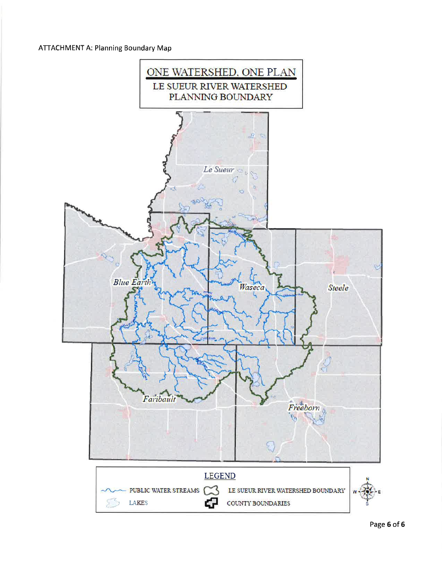# **ATTACHMENT A: Planning Boundary Map**

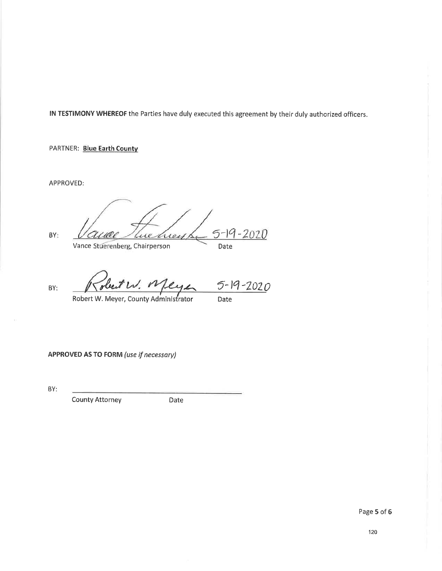PARTNER: Blue Earth County

APPROVED:

BY:

 $5 - 19$ 207 D  $\omega$ wey 1. Vance Stuerenberg, Chairperson Date

obeit W. Meyer  $5 - 19 - 2020$ BY: Date

Robert W. Meyer, County Administrator

APPROVED AS TO FORM (use if necessary)

BY:

**County Attorney** 

Date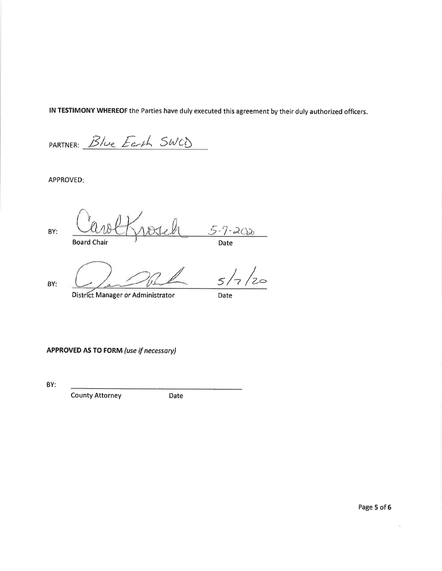PARTNER: Blue Earth SWCD

APPROVED:

 $\frac{5.7 - 2020}{\text{Date}}$ BY: **Board Chair** 

BY:

District Manager or Administrator

Date

 $5<sub>1</sub>$ 

/<br>2⇔

**APPROVED AS TO FORM (use if necessary)** 

BY:

**County Attorney** 

Date

 $\mathbf{q}$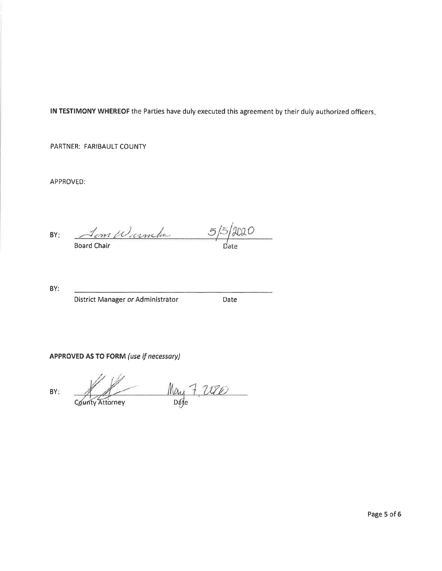PARTNER: FARIBAULT COUNTY

APPROVED:

 $5/5/2020$ <u>Som Warmha</u> BY:

BY:

BY:

District Manager or Administrator

Date

APPROVED AS TO FORM (use if necessary)

 $M_{\text{avg}}7.2020$ County Attorney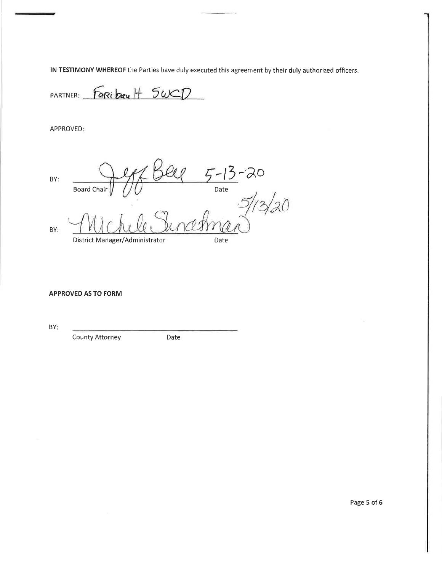PARTNER: Faribay H 5WCD

APPROVED:

er Bell 5-13-20<br>Ob Bell 5-13-20<br>Welc Suncerman BY: Board Chair BY: District Manager/Administrator Date

### **APPROVED AS TO FORM**

BY:

**County Attorney** 

Date

Page 5 of 6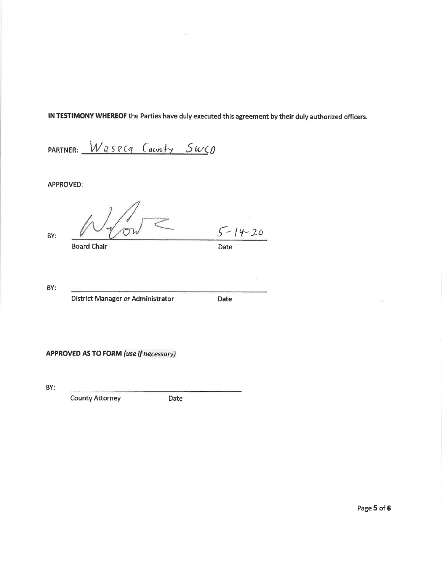PARTNER: Waspca County Suco

**APPROVED:** 

BY:

**Board Chair** 

Date

 $5 - 14 - 20$ 

BY:

District Manager or Administrator

Date

**APPROVED AS TO FORM (use if necessary)** 

BY:

**County Attorney** 

Date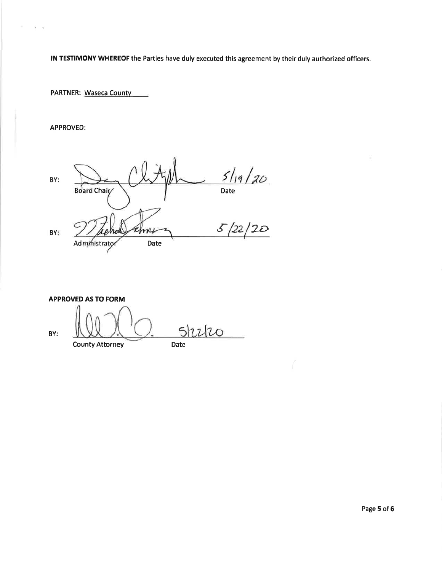**PARTNER: Waseca County** 

APPROVED:

 $\alpha$ 

 $\tilde{\Omega}=\tilde{\eta}$ 

 $5/19/20$ BY: Date Board Chair  $5/22/20$ m BY: Date Administrato

**APPROVED AS TO FORM** 

Shiho BY:

**County Attorney** 

Date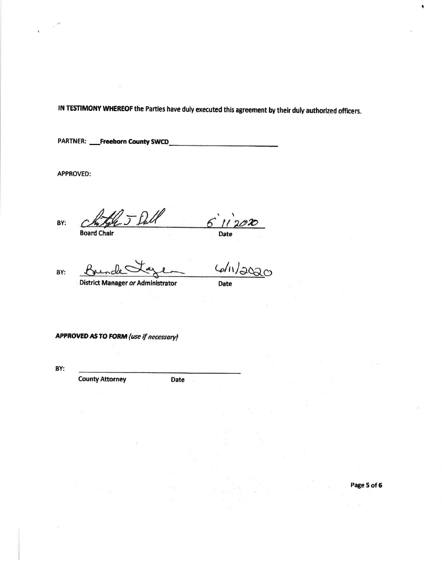**PARTNER: \_\_Freeborn County SWCD\_** 

**APPROVED:** 

BY:

6  $11202$ Date

**Board Chair** 

BY:

**Date** 

 $6/11/202$ 

**District Manager or Administrator** 

**APPROVED AS TO FORM (use if necessary)** 

BY:

**County Attorney** 

Date

Page 5 of 6